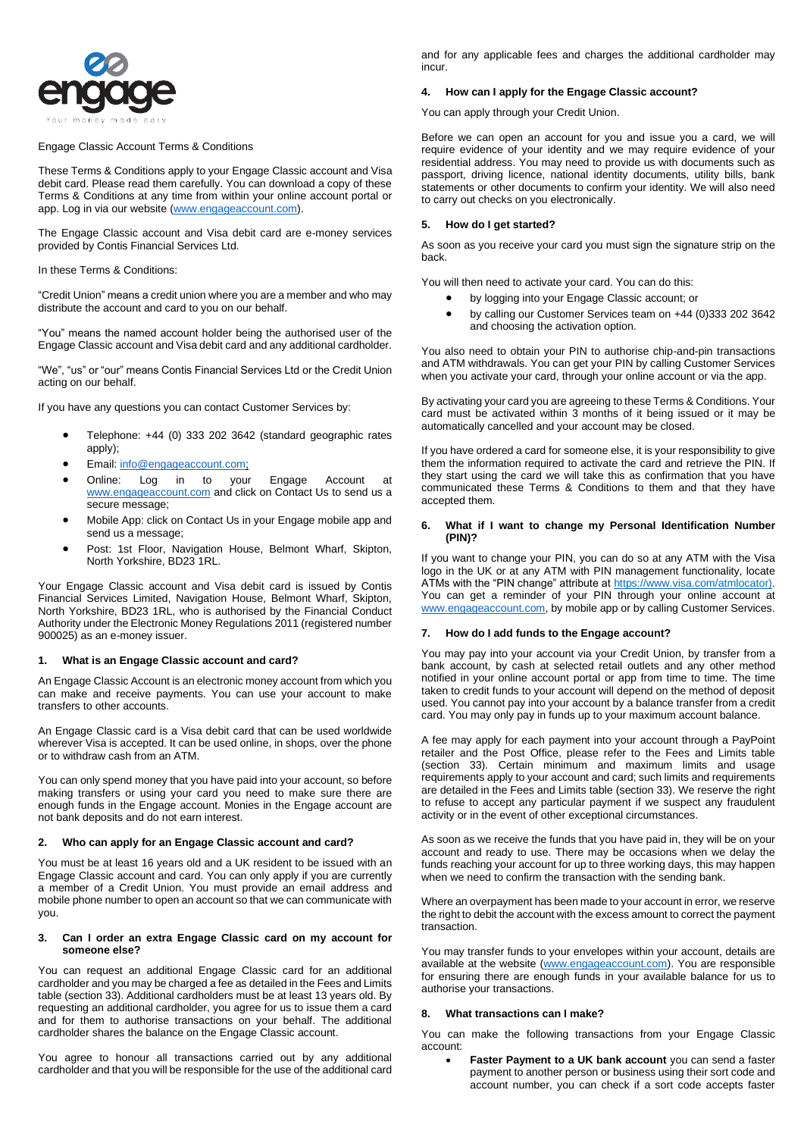

## Engage Classic Account Terms & Conditions

These Terms & Conditions apply to your Engage Classic account and Visa debit card. Please read them carefully. You can download a copy of these Terms & Conditions at any time from within your online account portal or app. Log in via our website [\(www.engageaccount.com\)](http://www.engageaccount.com/).

The Engage Classic account and Visa debit card are e-money services provided by Contis Financial Services Ltd.

In these Terms & Conditions:

"Credit Union" means a credit union where you are a member and who may distribute the account and card to you on our behalf.

"You" means the named account holder being the authorised user of the Engage Classic account and Visa debit card and any additional cardholder.

"We", "us" or "our" means Contis Financial Services Ltd or the Credit Union acting on our behalf.

If you have any questions you can contact Customer Services by:

- Telephone: +44 (0) 333 202 3642 (standard geographic rates apply);
- Email: [info@engageaccount.com;](mailto:info@engageaccount.com)
- Online: Log in to your Engage Account at [www.engageaccount.com](http://www.engageaccount.com/) and click on Contact Us to send us a secure message;
- Mobile App: click on Contact Us in your Engage mobile app and send us a message;
- Post: 1st Floor, Navigation House, Belmont Wharf, Skipton, North Yorkshire, BD23 1RL.

Your Engage Classic account and Visa debit card is issued by Contis Financial Services Limited, Navigation House, Belmont Wharf, Skipton, North Yorkshire, BD23 1RL, who is authorised by the Financial Conduct Authority under the Electronic Money Regulations 2011 (registered number 900025) as an e-money issuer.

### **1. What is an Engage Classic account and card?**

An Engage Classic Account is an electronic money account from which you can make and receive payments. You can use your account to make transfers to other accounts.

An Engage Classic card is a Visa debit card that can be used worldwide wherever Visa is accepted. It can be used online, in shops, over the phone or to withdraw cash from an ATM.

You can only spend money that you have paid into your account, so before making transfers or using your card you need to make sure there are enough funds in the Engage account. Monies in the Engage account are not bank deposits and do not earn interest.

### **2. Who can apply for an Engage Classic account and card?**

You must be at least 16 years old and a UK resident to be issued with an Engage Classic account and card. You can only apply if you are currently a member of a Credit Union. You must provide an email address and mobile phone number to open an account so that we can communicate with you.

### **3. Can I order an extra Engage Classic card on my account for someone else?**

You can request an additional Engage Classic card for an additional cardholder and you may be charged a fee as detailed in the Fees and Limits table (section 33). Additional cardholders must be at least 13 years old. By requesting an additional cardholder, you agree for us to issue them a card and for them to authorise transactions on your behalf. The additional cardholder shares the balance on the Engage Classic account.

You agree to honour all transactions carried out by any additional cardholder and that you will be responsible for the use of the additional card and for any applicable fees and charges the additional cardholder may incur.

### **4. How can I apply for the Engage Classic account?**

You can apply through your Credit Union.

Before we can open an account for you and issue you a card, we will require evidence of your identity and we may require evidence of your residential address. You may need to provide us with documents such as passport, driving licence, national identity documents, utility bills, bank statements or other documents to confirm your identity. We will also need to carry out checks on you electronically.

### **5. How do I get started?**

As soon as you receive your card you must sign the signature strip on the back.

You will then need to activate your card. You can do this:

- by logging into your Engage Classic account; or
- by calling our Customer Services team on +44 (0)333 202 3642 and choosing the activation option.

You also need to obtain your PIN to authorise chip-and-pin transactions and ATM withdrawals. You can get your PIN by calling Customer Services when you activate your card, through your online account or via the app.

By activating your card you are agreeing to these Terms & Conditions. Your card must be activated within 3 months of it being issued or it may be automatically cancelled and your account may be closed.

If you have ordered a card for someone else, it is your responsibility to give them the information required to activate the card and retrieve the PIN. If they start using the card we will take this as confirmation that you have communicated these Terms & Conditions to them and that they have accepted them.

### **6. What if I want to change my Personal Identification Number (PIN)?**

If you want to change your PIN, you can do so at any ATM with the Visa logo in the UK or at any ATM with PIN management functionality, locate ATMs with the "PIN change" attribute a[t https://www.visa.com/atmlocator\).](https://www.visa.com/atmlocator)) You can get a reminder of your PIN through your online account at [www.engageaccount.com,](http://www.engageaccount.com/) by mobile app or by calling Customer Services.

### **7. How do I add funds to the Engage account?**

You may pay into your account via your Credit Union, by transfer from a bank account, by cash at selected retail outlets and any other method notified in your online account portal or app from time to time. The time taken to credit funds to your account will depend on the method of deposit used. You cannot pay into your account by a balance transfer from a credit card. You may only pay in funds up to your maximum account balance.

A fee may apply for each payment into your account through a PayPoint retailer and the Post Office, please refer to the Fees and Limits table (section 33). Certain minimum and maximum limits and usage requirements apply to your account and card; such limits and requirements are detailed in the Fees and Limits table (section 33). We reserve the right to refuse to accept any particular payment if we suspect any fraudulent activity or in the event of other exceptional circumstances.

As soon as we receive the funds that you have paid in, they will be on your account and ready to use. There may be occasions when we delay the funds reaching your account for up to three working days, this may happen when we need to confirm the transaction with the sending bank.

Where an overpayment has been made to your account in error, we reserve the right to debit the account with the excess amount to correct the payment transaction.

You may transfer funds to your envelopes within your account, details are available at the website [\(www.engageaccount.com\)](http://www.engageaccount.com/). You are responsible for ensuring there are enough funds in your available balance for us to authorise your transactions.

### **8. What transactions can I make?**

You can make the following transactions from your Engage Classic account:

Faster Payment to a UK bank account you can send a faster payment to another person or business using their sort code and account number, you can check if a sort code accepts faster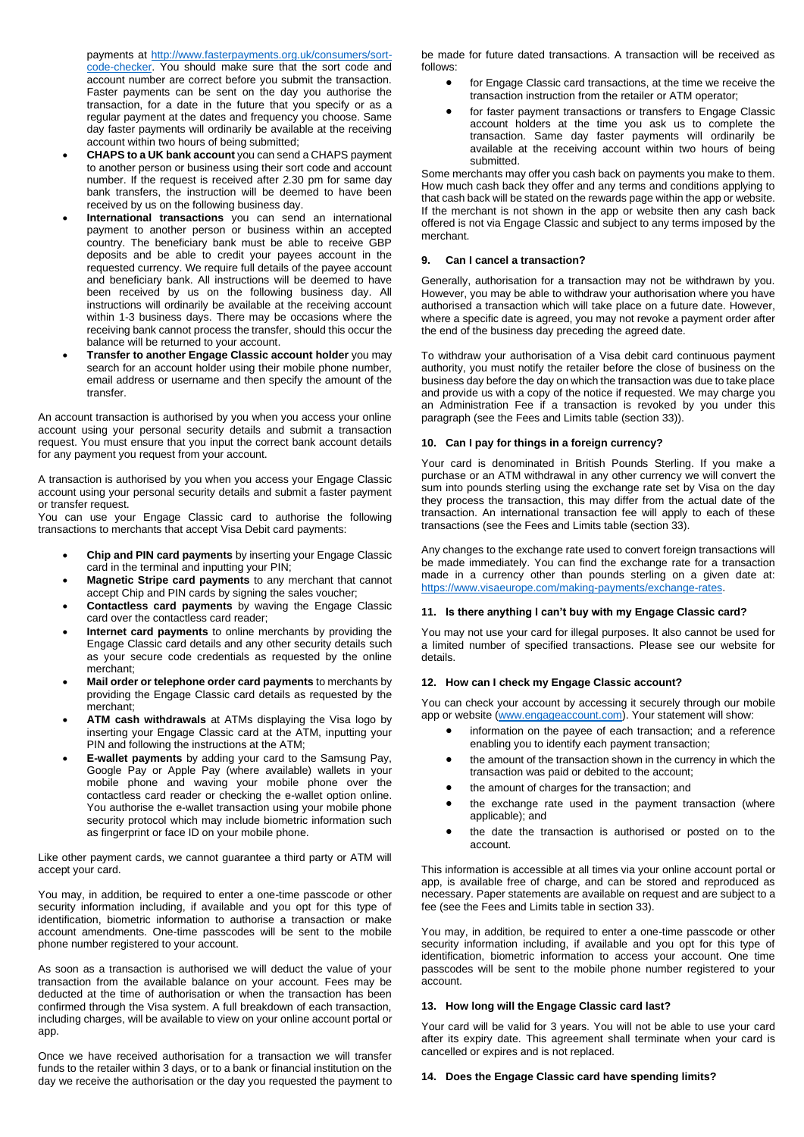payments at [http://www.fasterpayments.org.uk/consumers/sort](http://www.fasterpayments.org.uk/consumers/sort-code-checker)[code-checker.](http://www.fasterpayments.org.uk/consumers/sort-code-checker) You should make sure that the sort code and account number are correct before you submit the transaction. Faster payments can be sent on the day you authorise the transaction, for a date in the future that you specify or as a regular payment at the dates and frequency you choose. Same day faster payments will ordinarily be available at the receiving account within two hours of being submitted;

- **CHAPS to a UK bank account** you can send a CHAPS payment to another person or business using their sort code and account number. If the request is received after 2.30 pm for same day bank transfers, the instruction will be deemed to have been received by us on the following business day.
- **International transactions** you can send an international payment to another person or business within an accepted country. The beneficiary bank must be able to receive GBP deposits and be able to credit your payees account in the requested currency. We require full details of the payee account and beneficiary bank. All instructions will be deemed to have been received by us on the following business day. All instructions will ordinarily be available at the receiving account within 1-3 business days. There may be occasions where the receiving bank cannot process the transfer, should this occur the balance will be returned to your account.
- **Transfer to another Engage Classic account holder** you may search for an account holder using their mobile phone number, email address or username and then specify the amount of the transfer.

An account transaction is authorised by you when you access your online account using your personal security details and submit a transaction request. You must ensure that you input the correct bank account details for any payment you request from your account.

A transaction is authorised by you when you access your Engage Classic account using your personal security details and submit a faster payment or transfer request.

You can use your Engage Classic card to authorise the following transactions to merchants that accept Visa Debit card payments:

- **Chip and PIN card payments** by inserting your Engage Classic card in the terminal and inputting your PIN;
- **Magnetic Stripe card payments** to any merchant that cannot accept Chip and PIN cards by signing the sales voucher;
- **Contactless card payments** by waving the Engage Classic card over the contactless card reader;
- **Internet card payments** to online merchants by providing the Engage Classic card details and any other security details such as your secure code credentials as requested by the online merchant;
- **Mail order or telephone order card payments** to merchants by providing the Engage Classic card details as requested by the merchant;
- **ATM cash withdrawals** at ATMs displaying the Visa logo by inserting your Engage Classic card at the ATM, inputting your PIN and following the instructions at the ATM;
- **E-wallet payments** by adding your card to the Samsung Pay, Google Pay or Apple Pay (where available) wallets in your mobile phone and waving your mobile phone over the contactless card reader or checking the e-wallet option online. You authorise the e-wallet transaction using your mobile phone security protocol which may include biometric information such as fingerprint or face ID on your mobile phone.

Like other payment cards, we cannot guarantee a third party or ATM will accept your card.

You may, in addition, be required to enter a one-time passcode or other security information including, if available and you opt for this type of identification, biometric information to authorise a transaction or make account amendments. One-time passcodes will be sent to the mobile phone number registered to your account.

As soon as a transaction is authorised we will deduct the value of your transaction from the available balance on your account. Fees may be deducted at the time of authorisation or when the transaction has been confirmed through the Visa system. A full breakdown of each transaction, including charges, will be available to view on your online account portal or app.

Once we have received authorisation for a transaction we will transfer funds to the retailer within 3 days, or to a bank or financial institution on the day we receive the authorisation or the day you requested the payment to be made for future dated transactions. A transaction will be received as follows:

- for Engage Classic card transactions, at the time we receive the transaction instruction from the retailer or ATM operator;
- for faster payment transactions or transfers to Engage Classic account holders at the time you ask us to complete the transaction. Same day faster payments will ordinarily be available at the receiving account within two hours of being submitted.

Some merchants may offer you cash back on payments you make to them. How much cash back they offer and any terms and conditions applying to that cash back will be stated on the rewards page within the app or website. If the merchant is not shown in the app or website then any cash back offered is not via Engage Classic and subject to any terms imposed by the merchant.

## **9. Can I cancel a transaction?**

Generally, authorisation for a transaction may not be withdrawn by you. However, you may be able to withdraw your authorisation where you have authorised a transaction which will take place on a future date. However, where a specific date is agreed, you may not revoke a payment order after the end of the business day preceding the agreed date.

To withdraw your authorisation of a Visa debit card continuous payment authority, you must notify the retailer before the close of business on the business day before the day on which the transaction was due to take place and provide us with a copy of the notice if requested. We may charge you an Administration Fee if a transaction is revoked by you under this paragraph (see the Fees and Limits table (section 33)).

## **10. Can I pay for things in a foreign currency?**

Your card is denominated in British Pounds Sterling. If you make a purchase or an ATM withdrawal in any other currency we will convert the sum into pounds sterling using the exchange rate set by Visa on the day they process the transaction, this may differ from the actual date of the transaction. An international transaction fee will apply to each of these transactions (see the Fees and Limits table (section 33).

Any changes to the exchange rate used to convert foreign transactions will be made immediately. You can find the exchange rate for a transaction made in a currency other than pounds sterling on a given date at: [https://www.visaeurope.com/making-payments/exchange-rates.](https://www.visaeurope.com/making-payments/exchange-rates)

## **11. Is there anything I can't buy with my Engage Classic card?**

You may not use your card for illegal purposes. It also cannot be used for a limited number of specified transactions. Please see our website for details.

## **12. How can I check my Engage Classic account?**

You can check your account by accessing it securely through our mobile app or website [\(www.engageaccount.com\)](http://www.engageaccount.com/). Your statement will show:

- information on the payee of each transaction; and a reference enabling you to identify each payment transaction;
- the amount of the transaction shown in the currency in which the transaction was paid or debited to the account;
- the amount of charges for the transaction; and
- the exchange rate used in the payment transaction (where applicable); and
- the date the transaction is authorised or posted on to the account.

This information is accessible at all times via your online account portal or app, is available free of charge, and can be stored and reproduced as necessary. Paper statements are available on request and are subject to a fee (see the Fees and Limits table in section 33).

You may, in addition, be required to enter a one-time passcode or other security information including, if available and you opt for this type of identification, biometric information to access your account. One time passcodes will be sent to the mobile phone number registered to your account.

## **13. How long will the Engage Classic card last?**

Your card will be valid for 3 years. You will not be able to use your card after its expiry date. This agreement shall terminate when your card is cancelled or expires and is not replaced.

## **14. Does the Engage Classic card have spending limits?**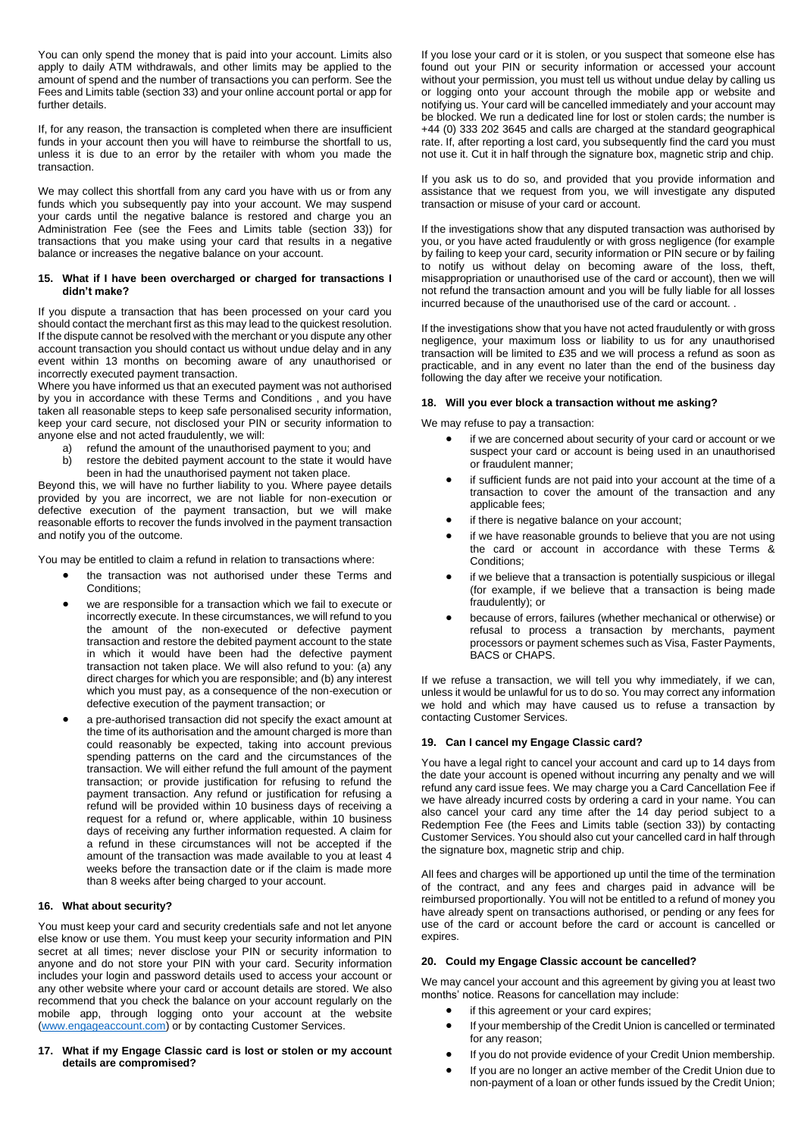You can only spend the money that is paid into your account. Limits also apply to daily ATM withdrawals, and other limits may be applied to the amount of spend and the number of transactions you can perform. See the Fees and Limits table (section 33) and your online account portal or app for further details.

If, for any reason, the transaction is completed when there are insufficient funds in your account then you will have to reimburse the shortfall to us, unless it is due to an error by the retailer with whom you made the transaction.

We may collect this shortfall from any card you have with us or from any funds which you subsequently pay into your account. We may suspend your cards until the negative balance is restored and charge you an Administration Fee (see the Fees and Limits table (section 33)) for transactions that you make using your card that results in a negative balance or increases the negative balance on your account.

### **15. What if I have been overcharged or charged for transactions I didn't make?**

If you dispute a transaction that has been processed on your card you should contact the merchant first as this may lead to the quickest resolution. If the dispute cannot be resolved with the merchant or you dispute any other account transaction you should contact us without undue delay and in any event within 13 months on becoming aware of any unauthorised or incorrectly executed payment transaction.

Where you have informed us that an executed payment was not authorised by you in accordance with these Terms and Conditions , and you have taken all reasonable steps to keep safe personalised security information, keep your card secure, not disclosed your PIN or security information to anyone else and not acted fraudulently, we will:

- a) refund the amount of the unauthorised payment to you; and
- b) restore the debited payment account to the state it would have been in had the unauthorised payment not taken place.

Beyond this, we will have no further liability to you. Where payee details provided by you are incorrect, we are not liable for non-execution or defective execution of the payment transaction, but we will make reasonable efforts to recover the funds involved in the payment transaction and notify you of the outcome.

You may be entitled to claim a refund in relation to transactions where:

- the transaction was not authorised under these Terms and Conditions:
- we are responsible for a transaction which we fail to execute or incorrectly execute. In these circumstances, we will refund to you the amount of the non-executed or defective payment transaction and restore the debited payment account to the state in which it would have been had the defective payment transaction not taken place. We will also refund to you: (a) any direct charges for which you are responsible; and (b) any interest which you must pay, as a consequence of the non-execution or defective execution of the payment transaction; or
- a pre-authorised transaction did not specify the exact amount at the time of its authorisation and the amount charged is more than could reasonably be expected, taking into account previous spending patterns on the card and the circumstances of the transaction. We will either refund the full amount of the payment transaction; or provide justification for refusing to refund the payment transaction. Any refund or justification for refusing a refund will be provided within 10 business days of receiving a request for a refund or, where applicable, within 10 business days of receiving any further information requested. A claim for a refund in these circumstances will not be accepted if the amount of the transaction was made available to you at least 4 weeks before the transaction date or if the claim is made more than 8 weeks after being charged to your account.

## **16. What about security?**

You must keep your card and security credentials safe and not let anyone else know or use them. You must keep your security information and PIN secret at all times; never disclose your PIN or security information to anyone and do not store your PIN with your card. Security information includes your login and password details used to access your account or any other website where your card or account details are stored. We also recommend that you check the balance on your account regularly on the mobile app, through logging onto your account at the website [\(www.engageaccount.com\)](http://www.engageaccount.com/) or by contacting Customer Services.

**17. What if my Engage Classic card is lost or stolen or my account details are compromised?**

If you lose your card or it is stolen, or you suspect that someone else has found out your PIN or security information or accessed your account without your permission, you must tell us without undue delay by calling us or logging onto your account through the mobile app or website and notifying us. Your card will be cancelled immediately and your account may be blocked. We run a dedicated line for lost or stolen cards; the number is +44 (0) 333 202 3645 and calls are charged at the standard geographical rate. If, after reporting a lost card, you subsequently find the card you must not use it. Cut it in half through the signature box, magnetic strip and chip.

If you ask us to do so, and provided that you provide information and assistance that we request from you, we will investigate any disputed transaction or misuse of your card or account.

If the investigations show that any disputed transaction was authorised by you, or you have acted fraudulently or with gross negligence (for example by failing to keep your card, security information or PIN secure or by failing to notify us without delay on becoming aware of the loss, theft, misappropriation or unauthorised use of the card or account), then we will not refund the transaction amount and you will be fully liable for all losses incurred because of the unauthorised use of the card or account. .

If the investigations show that you have not acted fraudulently or with gross negligence, your maximum loss or liability to us for any unauthorised transaction will be limited to £35 and we will process a refund as soon as practicable, and in any event no later than the end of the business day following the day after we receive your notification.

# **18. Will you ever block a transaction without me asking?**

We may refuse to pay a transaction:

- if we are concerned about security of your card or account or we suspect your card or account is being used in an unauthorised or fraudulent manner;
- if sufficient funds are not paid into your account at the time of a transaction to cover the amount of the transaction and any applicable fees;
- if there is negative balance on your account;
- if we have reasonable grounds to believe that you are not using the card or account in accordance with these Terms & Conditions;
- if we believe that a transaction is potentially suspicious or illegal (for example, if we believe that a transaction is being made fraudulently); or
- because of errors, failures (whether mechanical or otherwise) or refusal to process a transaction by merchants, payment processors or payment schemes such as Visa, Faster Payments, BACS or CHAPS.

If we refuse a transaction, we will tell you why immediately, if we can, unless it would be unlawful for us to do so. You may correct any information we hold and which may have caused us to refuse a transaction by contacting Customer Services.

# **19. Can I cancel my Engage Classic card?**

You have a legal right to cancel your account and card up to 14 days from the date your account is opened without incurring any penalty and we will refund any card issue fees. We may charge you a Card Cancellation Fee if we have already incurred costs by ordering a card in your name. You can also cancel your card any time after the 14 day period subject to a Redemption Fee (the Fees and Limits table (section 33)) by contacting Customer Services. You should also cut your cancelled card in half through the signature box, magnetic strip and chip.

All fees and charges will be apportioned up until the time of the termination of the contract, and any fees and charges paid in advance will be reimbursed proportionally. You will not be entitled to a refund of money you have already spent on transactions authorised, or pending or any fees for use of the card or account before the card or account is cancelled or expires.

# **20. Could my Engage Classic account be cancelled?**

We may cancel your account and this agreement by giving you at least two months' notice. Reasons for cancellation may include:

- if this agreement or your card expires;
- If your membership of the Credit Union is cancelled or terminated for any reason;
- If you do not provide evidence of your Credit Union membership.
- If you are no longer an active member of the Credit Union due to non-payment of a loan or other funds issued by the Credit Union;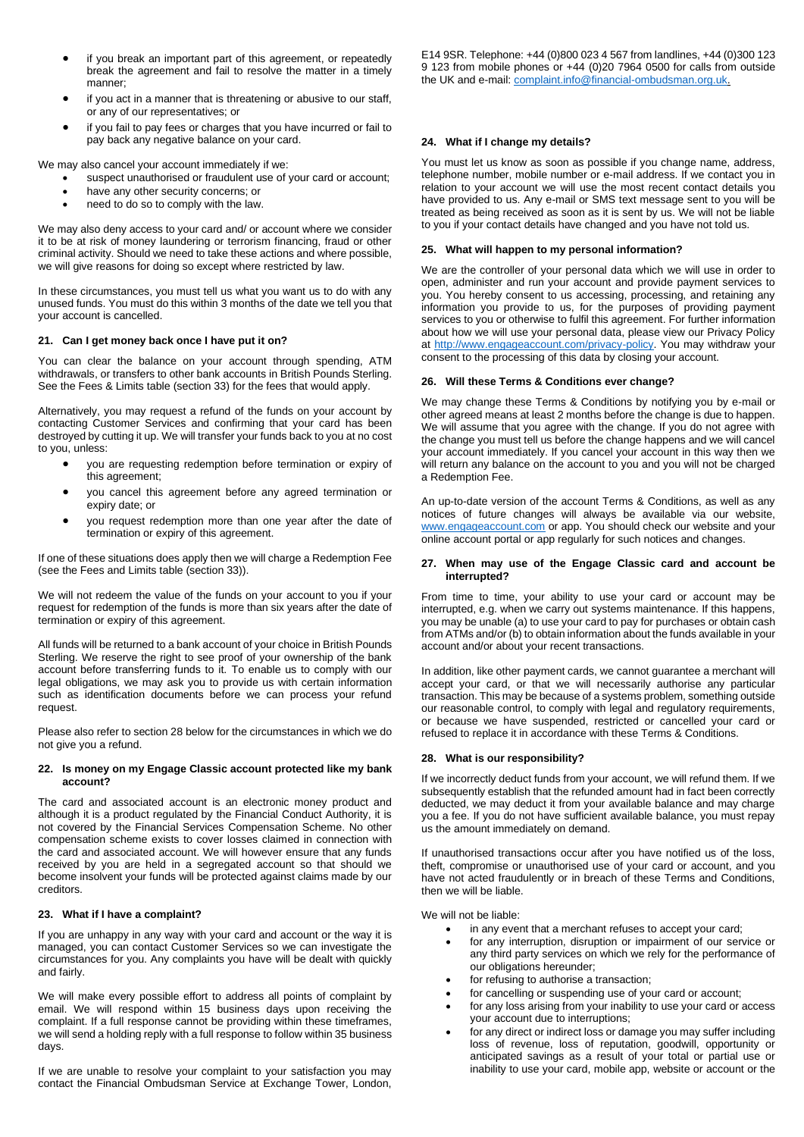- if you break an important part of this agreement, or repeatedly break the agreement and fail to resolve the matter in a timely manner;
- if you act in a manner that is threatening or abusive to our staff, or any of our representatives; or
- if you fail to pay fees or charges that you have incurred or fail to pay back any negative balance on your card.

We may also cancel your account immediately if we:

- suspect unauthorised or fraudulent use of your card or account;
- have any other security concerns; or
- need to do so to comply with the law.

We may also deny access to your card and/ or account where we consider it to be at risk of money laundering or terrorism financing, fraud or other criminal activity. Should we need to take these actions and where possible, we will give reasons for doing so except where restricted by law.

In these circumstances, you must tell us what you want us to do with any unused funds. You must do this within 3 months of the date we tell you that your account is cancelled.

### **21. Can I get money back once I have put it on?**

You can clear the balance on your account through spending, ATM withdrawals, or transfers to other bank accounts in British Pounds Sterling. See the Fees & Limits table (section 33) for the fees that would apply.

Alternatively, you may request a refund of the funds on your account by contacting Customer Services and confirming that your card has been destroyed by cutting it up. We will transfer your funds back to you at no cost to you, unless:

- you are requesting redemption before termination or expiry of this agreement;
- you cancel this agreement before any agreed termination or expiry date; or
- you request redemption more than one year after the date of termination or expiry of this agreement.

If one of these situations does apply then we will charge a Redemption Fee (see the Fees and Limits table (section 33)).

We will not redeem the value of the funds on your account to you if your request for redemption of the funds is more than six years after the date of termination or expiry of this agreement.

All funds will be returned to a bank account of your choice in British Pounds Sterling. We reserve the right to see proof of your ownership of the bank account before transferring funds to it. To enable us to comply with our legal obligations, we may ask you to provide us with certain information such as identification documents before we can process your refund request.

Please also refer to section 28 below for the circumstances in which we do not give you a refund.

### **22. Is money on my Engage Classic account protected like my bank account?**

The card and associated account is an electronic money product and although it is a product regulated by the Financial Conduct Authority, it is not covered by the Financial Services Compensation Scheme. No other compensation scheme exists to cover losses claimed in connection with the card and associated account. We will however ensure that any funds received by you are held in a segregated account so that should we become insolvent your funds will be protected against claims made by our creditors.

## **23. What if I have a complaint?**

If you are unhappy in any way with your card and account or the way it is managed, you can contact Customer Services so we can investigate the circumstances for you. Any complaints you have will be dealt with quickly and fairly.

We will make every possible effort to address all points of complaint by email. We will respond within 15 business days upon receiving the complaint. If a full response cannot be providing within these timeframes, we will send a holding reply with a full response to follow within 35 business days.

If we are unable to resolve your complaint to your satisfaction you may contact the Financial Ombudsman Service at Exchange Tower, London, E14 9SR. Telephone: +44 (0)800 023 4 567 from landlines, +44 (0)300 123 9 123 from mobile phones or +44 (0)20 7964 0500 for calls from outside the UK and e-mail[: complaint.info@financial-ombudsman.org.uk.](mailto:complaint.info@financial-ombudsman.org.uk)

## **24. What if I change my details?**

You must let us know as soon as possible if you change name, address, telephone number, mobile number or e-mail address. If we contact you in relation to your account we will use the most recent contact details you have provided to us. Any e-mail or SMS text message sent to you will be treated as being received as soon as it is sent by us. We will not be liable to you if your contact details have changed and you have not told us.

## **25. What will happen to my personal information?**

We are the controller of your personal data which we will use in order to open, administer and run your account and provide payment services to you. You hereby consent to us accessing, processing, and retaining any information you provide to us, for the purposes of providing payment services to you or otherwise to fulfil this agreement. For further information about how we will use your personal data, please view our Privacy Policy at [http://www.engageaccount.com/privacy-policy.](http://www.engageaccount.com/privacy-policy) You may withdraw your consent to the processing of this data by closing your account.

### **26. Will these Terms & Conditions ever change?**

We may change these Terms & Conditions by notifying you by e-mail or other agreed means at least 2 months before the change is due to happen. We will assume that you agree with the change. If you do not agree with the change you must tell us before the change happens and we will cancel your account immediately. If you cancel your account in this way then we will return any balance on the account to you and you will not be charged a Redemption Fee.

An up-to-date version of the account Terms & Conditions, as well as any notices of future changes will always be available via our website, [www.engageaccount.com](http://www.engageaccount.com/) or app. You should check our website and your online account portal or app regularly for such notices and changes.

### **27. When may use of the Engage Classic card and account be interrupted?**

From time to time, your ability to use your card or account may be interrupted, e.g. when we carry out systems maintenance. If this happens, you may be unable (a) to use your card to pay for purchases or obtain cash from ATMs and/or (b) to obtain information about the funds available in your account and/or about your recent transactions.

In addition, like other payment cards, we cannot guarantee a merchant will accept your card, or that we will necessarily authorise any particular transaction. This may be because of a systems problem, something outside our reasonable control, to comply with legal and regulatory requirements, or because we have suspended, restricted or cancelled your card or refused to replace it in accordance with these Terms & Conditions.

## **28. What is our responsibility?**

If we incorrectly deduct funds from your account, we will refund them. If we subsequently establish that the refunded amount had in fact been correctly deducted, we may deduct it from your available balance and may charge you a fee. If you do not have sufficient available balance, you must repay us the amount immediately on demand.

If unauthorised transactions occur after you have notified us of the loss, theft, compromise or unauthorised use of your card or account, and you have not acted fraudulently or in breach of these Terms and Conditions, then we will be liable.

We will not be liable:

- in any event that a merchant refuses to accept your card;
- for any interruption, disruption or impairment of our service or any third party services on which we rely for the performance of our obligations hereunder;
- for refusing to authorise a transaction;
- for cancelling or suspending use of your card or account;
- for any loss arising from your inability to use your card or access your account due to interruptions;
- for any direct or indirect loss or damage you may suffer including loss of revenue, loss of reputation, goodwill, opportunity or anticipated savings as a result of your total or partial use or inability to use your card, mobile app, website or account or the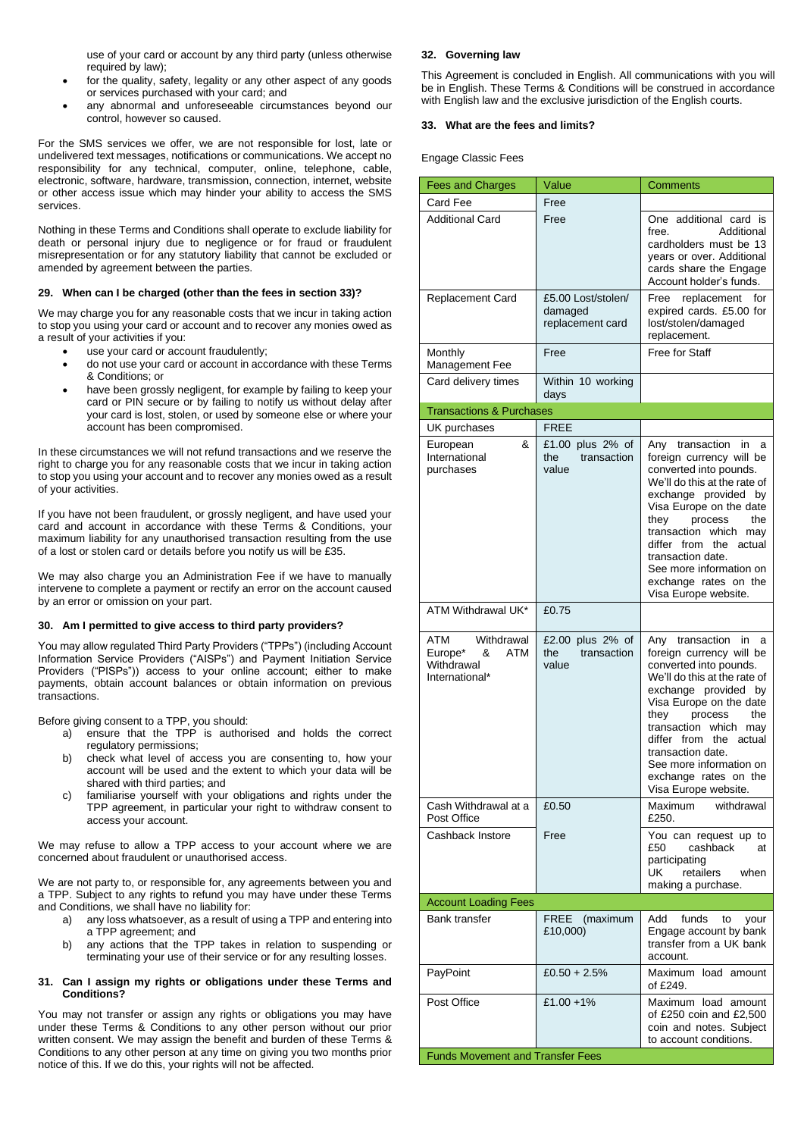use of your card or account by any third party (unless otherwise required by law);

- for the quality, safety, legality or any other aspect of any goods or services purchased with your card; and
- any abnormal and unforeseeable circumstances beyond our control, however so caused.

For the SMS services we offer, we are not responsible for lost, late or undelivered text messages, notifications or communications. We accept no responsibility for any technical, computer, online, telephone, cable, electronic, software, hardware, transmission, connection, internet, website or other access issue which may hinder your ability to access the SMS services.

Nothing in these Terms and Conditions shall operate to exclude liability for death or personal injury due to negligence or for fraud or fraudulent misrepresentation or for any statutory liability that cannot be excluded or amended by agreement between the parties.

### **29. When can I be charged (other than the fees in section 33)?**

We may charge you for any reasonable costs that we incur in taking action to stop you using your card or account and to recover any monies owed as a result of your activities if you:

- use your card or account fraudulently;
- do not use your card or account in accordance with these Terms & Conditions; or
- have been grossly negligent, for example by failing to keep your card or PIN secure or by failing to notify us without delay after your card is lost, stolen, or used by someone else or where your account has been compromised.

In these circumstances we will not refund transactions and we reserve the right to charge you for any reasonable costs that we incur in taking action to stop you using your account and to recover any monies owed as a result of your activities.

If you have not been fraudulent, or grossly negligent, and have used your card and account in accordance with these Terms & Conditions, your maximum liability for any unauthorised transaction resulting from the use of a lost or stolen card or details before you notify us will be £35.

We may also charge you an Administration Fee if we have to manually intervene to complete a payment or rectify an error on the account caused by an error or omission on your part.

### **30. Am I permitted to give access to third party providers?**

You may allow regulated Third Party Providers ("TPPs") (including Account Information Service Providers ("AISPs") and Payment Initiation Service Providers ("PISPs")) access to your online account; either to make payments, obtain account balances or obtain information on previous transactions.

Before giving consent to a TPP, you should:

- a) ensure that the TPP is authorised and holds the correct regulatory permissions;
- b) check what level of access you are consenting to, how your account will be used and the extent to which your data will be shared with third parties; and
- familiarise yourself with your obligations and rights under the TPP agreement, in particular your right to withdraw consent to access your account.

We may refuse to allow a TPP access to your account where we are concerned about fraudulent or unauthorised access.

We are not party to, or responsible for, any agreements between you and a TPP. Subject to any rights to refund you may have under these Terms and Conditions, we shall have no liability for:

- a) any loss whatsoever, as a result of using a TPP and entering into a TPP agreement; and
- b) any actions that the TPP takes in relation to suspending or terminating your use of their service or for any resulting losses.

## **31. Can I assign my rights or obligations under these Terms and Conditions?**

You may not transfer or assign any rights or obligations you may have under these Terms & Conditions to any other person without our prior written consent. We may assign the benefit and burden of these Terms & Conditions to any other person at any time on giving you two months prior notice of this. If we do this, your rights will not be affected.

# **32. Governing law**

This Agreement is concluded in English. All communications with you will be in English. These Terms & Conditions will be construed in accordance with English law and the exclusive jurisdiction of the English courts.

## **33. What are the fees and limits?**

Engage Classic Fees

| <b>Fees and Charges</b>                                                         | Value                                             | <b>Comments</b>                                                                                                                                                                                                                                                                                                                                    |  |  |
|---------------------------------------------------------------------------------|---------------------------------------------------|----------------------------------------------------------------------------------------------------------------------------------------------------------------------------------------------------------------------------------------------------------------------------------------------------------------------------------------------------|--|--|
| Card Fee                                                                        | Free                                              |                                                                                                                                                                                                                                                                                                                                                    |  |  |
| <b>Additional Card</b>                                                          | Free                                              | One additional card is<br>Additional<br>free.<br>cardholders must be 13<br>years or over. Additional<br>cards share the Engage<br>Account holder's funds.                                                                                                                                                                                          |  |  |
| Replacement Card                                                                | £5.00 Lost/stolen/<br>damaged<br>replacement card | Free<br>replacement<br>for<br>expired cards. £5.00 for<br>lost/stolen/damaged<br>replacement.                                                                                                                                                                                                                                                      |  |  |
| Monthly<br>Management Fee                                                       | Free                                              | Free for Staff                                                                                                                                                                                                                                                                                                                                     |  |  |
| Card delivery times                                                             | Within 10 working<br>days                         |                                                                                                                                                                                                                                                                                                                                                    |  |  |
| <b>Transactions &amp; Purchases</b>                                             |                                                   |                                                                                                                                                                                                                                                                                                                                                    |  |  |
| UK purchases                                                                    | <b>FREE</b>                                       |                                                                                                                                                                                                                                                                                                                                                    |  |  |
| &<br>European<br>International<br>purchases                                     | £1.00 plus 2% of<br>transaction<br>the<br>value   | Any transaction<br>in<br>a<br>foreign currency will be<br>converted into pounds.<br>We'll do this at the rate of<br>exchange provided by<br>Visa Europe on the date<br>process<br>the<br>they<br>transaction which may<br>differ from the actual<br>transaction date.<br>See more information on<br>exchange rates on the<br>Visa Europe website.  |  |  |
| ATM Withdrawal UK*                                                              | £0.75                                             |                                                                                                                                                                                                                                                                                                                                                    |  |  |
| <b>ATM</b><br>Withdrawal<br>Europe*<br>ATM<br>&<br>Withdrawal<br>International* | £2.00 plus 2% of<br>transaction<br>the<br>value   | Any transaction<br>in.<br>a<br>foreign currency will be<br>converted into pounds.<br>We'll do this at the rate of<br>exchange provided by<br>Visa Europe on the date<br>they<br>process<br>the<br>transaction which may<br>differ from the actual<br>transaction date.<br>See more information on<br>exchange rates on the<br>Visa Europe website. |  |  |
| Cash Withdrawal at a<br>Post Office                                             | £0.50                                             | withdrawal<br>Maximum<br>£250.                                                                                                                                                                                                                                                                                                                     |  |  |
| Cashback Instore                                                                | Free                                              | You can request up to<br>£50<br>cashback<br>at<br>participating<br>UK<br>retailers<br>when<br>making a purchase.                                                                                                                                                                                                                                   |  |  |
| <b>Account Loading Fees</b>                                                     |                                                   |                                                                                                                                                                                                                                                                                                                                                    |  |  |
| <b>Bank transfer</b>                                                            | FREE (maximum<br>£10,000)                         | funds<br>Add<br>to<br>your<br>Engage account by bank<br>transfer from a UK bank<br>account.                                                                                                                                                                                                                                                        |  |  |
| PayPoint                                                                        | £0.50 + 2.5%                                      | Maximum load amount<br>of £249.                                                                                                                                                                                                                                                                                                                    |  |  |
| Post Office                                                                     | £1.00 +1%                                         | Maximum load amount<br>of £250 coin and £2,500<br>coin and notes. Subject<br>to account conditions.                                                                                                                                                                                                                                                |  |  |
| <b>Funds Movement and Transfer Fees</b>                                         |                                                   |                                                                                                                                                                                                                                                                                                                                                    |  |  |